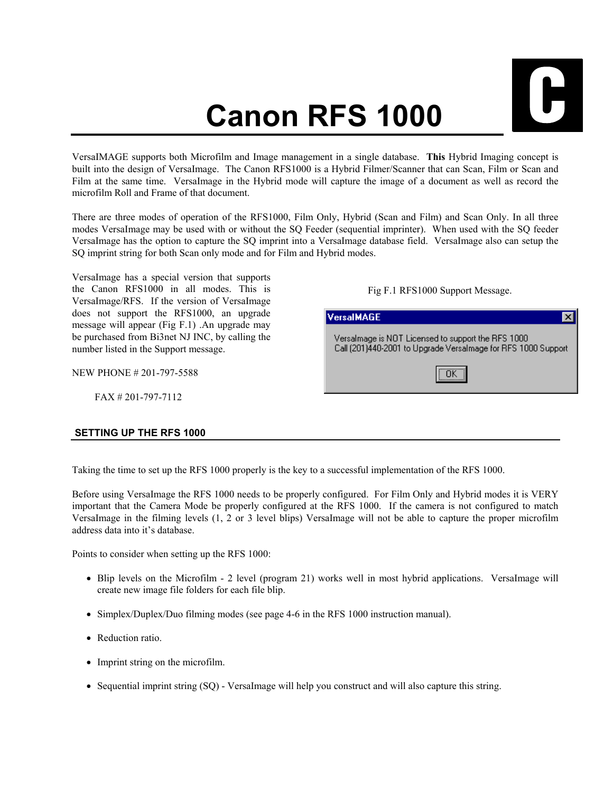## **Canon RFS 1000**



 $\overline{\mathsf{x}}$ 

VersaIMAGE supports both Microfilm and Image management in a single database. **This** Hybrid Imaging concept is built into the design of VersaImage. The Canon RFS1000 is a Hybrid Filmer/Scanner that can Scan, Film or Scan and Film at the same time. VersaImage in the Hybrid mode will capture the image of a document as well as record the microfilm Roll and Frame of that document.

There are three modes of operation of the RFS1000, Film Only, Hybrid (Scan and Film) and Scan Only. In all three modes VersaImage may be used with or without the SQ Feeder (sequential imprinter). When used with the SQ feeder VersaImage has the option to capture the SQ imprint into a VersaImage database field. VersaImage also can setup the SQ imprint string for both Scan only mode and for Film and Hybrid modes.

VersaImage has a special version that supports the Canon RFS1000 in all modes. This is VersaImage/RFS. If the version of VersaImage does not support the RFS1000, an upgrade message will appear (Fig F.1) .An upgrade may be purchased from Bi3net NJ INC, by calling the number listed in the Support message.

NEW PHONE # 201-797-5588

FAX # 201-797-7112

## **SETTING UP THE RFS 1000**

**VersalMAGE** 

Fig F.1 RFS1000 Support Message.

Versalmage is NOT Licensed to support the RFS 1000 Call (201)440-2001 to Upgrade Versalmage for RFS 1000 Support

ÖK

Taking the time to set up the RFS 1000 properly is the key to a successful implementation of the RFS 1000.

Before using VersaImage the RFS 1000 needs to be properly configured. For Film Only and Hybrid modes it is VERY important that the Camera Mode be properly configured at the RFS 1000. If the camera is not configured to match VersaImage in the filming levels (1, 2 or 3 level blips) VersaImage will not be able to capture the proper microfilm address data into it's database.

Points to consider when setting up the RFS 1000:

- Blip levels on the Microfilm 2 level (program 21) works well in most hybrid applications. VersaImage will create new image file folders for each file blip.
- Simplex/Duplex/Duo filming modes (see page 4-6 in the RFS 1000 instruction manual).
- Reduction ratio.
- Imprint string on the microfilm.
- Sequential imprint string (SO) VersaImage will help you construct and will also capture this string.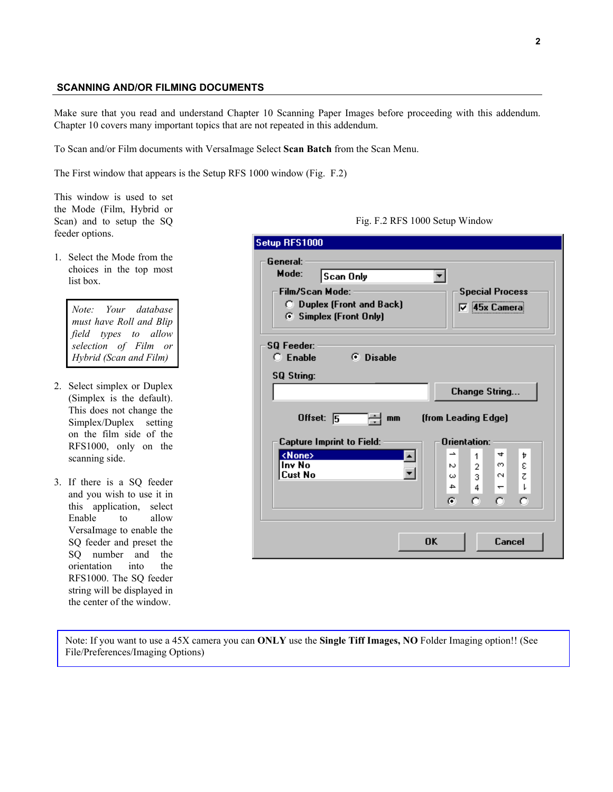## **SCANNING AND/OR FILMING DOCUMENTS**

Make sure that you read and understand Chapter 10 Scanning Paper Images before proceeding with this addendum. Chapter 10 covers many important topics that are not repeated in this addendum.

To Scan and/or Film documents with VersaImage Select **Scan Batch** from the Scan Menu.

The First window that appears is the Setup RFS 1000 window (Fig. F.2)

This window is used to set the Mode (Film, Hybrid or Scan) and to setup the SQ feeder options.

1. Select the Mode from the choices in the top most list box.

> *Note: Your database must have Roll and Blip field types to allow selection of Film or Hybrid (Scan and Film)*

- 2. Select simplex or Duplex (Simplex is the default). This does not change the Simplex/Duplex setting on the film side of the RFS1000, only on the scanning side.
- 3. If there is a SQ feeder and you wish to use it in this application, select Enable to allow VersaImage to enable the SQ feeder and preset the SQ number and the orientation into the RFS1000. The SQ feeder string will be displayed in the center of the window.

| General:<br>Mode:<br>Scan Only                                    |                                                     |
|-------------------------------------------------------------------|-----------------------------------------------------|
| <b>Film/Scan Mode:</b>                                            | <b>Special Process</b>                              |
| <b>C</b> Duplex (Front and Back)<br><b>6</b> Simplex (Front Only) | <b>▽ 45x Camera</b>                                 |
|                                                                   |                                                     |
| SQ Feeder:                                                        |                                                     |
| $C$ Enable<br><b>C</b> Disable                                    |                                                     |
| <b>SQ String:</b>                                                 |                                                     |
|                                                                   | Change String                                       |
|                                                                   |                                                     |
|                                                                   |                                                     |
| Offset: $\sqrt{5}$<br>mm                                          | (from Leading Edge)                                 |
| <b>Capture Imprint to Field:</b>                                  | Orientation:                                        |
| <none><br/>۰</none>                                               | 4<br>∸<br>Þ<br>1                                    |
| Inv No                                                            | ε<br>∞.<br>$\overline{2}$<br>v.                     |
| <b>Cust No</b>                                                    | $\sim$<br>Z.<br>3.<br>ω<br>≏<br>ı<br>$\overline{ }$ |
|                                                                   | 4<br>o                                              |
|                                                                   | G<br>o<br>о                                         |
|                                                                   |                                                     |

<span id="page-1-0"></span>Fig. F.2 RFS 1000 Setup Window

Note: If you want to use a 45X camera you can **ONLY** use the **Single Tiff Images, NO** Folder Imaging option!! (See File/Preferences/Imaging Options)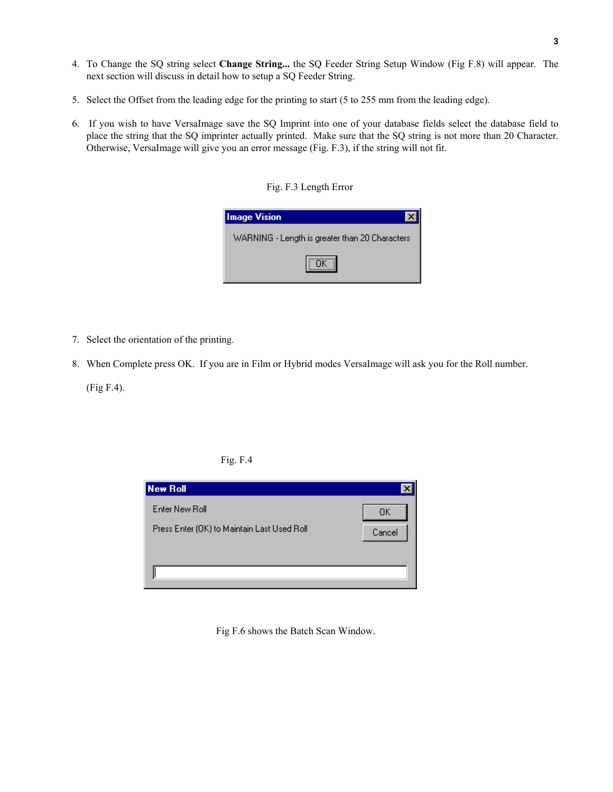- 4. To Change the SQ string select **Change String...** the SQ Feeder String Setup Window (Fig F.8) will appear. The next section will discuss in detail how to setup a SQ Feeder String.
- 5. Select the Offset from the leading edge for the printing to start (5 to 255 mm from the leading edge).
- 6. If you wish to have VersaImage save the SQ Imprint into one of your database fields select the database field to place the string that the SQ imprinter actually printed. Make sure that the SQ string is not more than 20 Character. Otherwise, VersaImage will give you an error message [\(Fig. F.3](#page-2-0)), if the string will not fit.

<span id="page-2-0"></span>Fig. F.3 Length Error

| <b>Image Vision</b>                            |  |
|------------------------------------------------|--|
| WARNING - Length is greater than 20 Characters |  |
| ÖK 1                                           |  |

- 7. Select the orientation of the printing.
- 8. When Complete press OK. If you are in Film or Hybrid modes VersaImage will ask you for the Roll number.

(Fig F.4).





Fig F.6 shows the Batch Scan Window.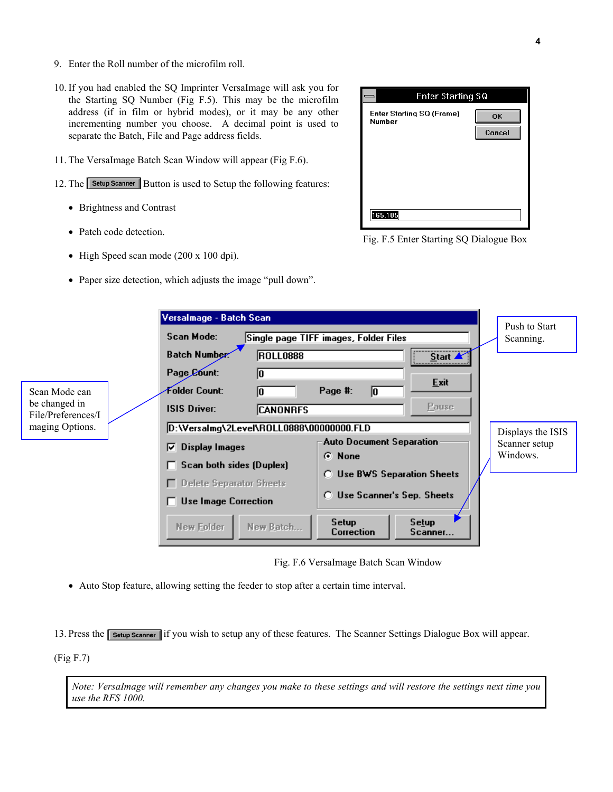- 9. Enter the Roll number of the microfilm roll.
- 10. If you had enabled the SQ Imprinter VersaImage will ask you for the Starting SQ Number (Fig F.5). This may be the microfilm address (if in film or hybrid modes), or it may be any other incrementing number you choose. A decimal point is used to separate the Batch, File and Page address fields.
- 11. The VersaImage Batch Scan Window will appear (Fig F.6).
- 12. The **Setup Scanner** Button is used to Setup the following features:
	- Brightness and Contrast
	- Patch code detection.
	- High Speed scan mode (200 x 100 dpi).
	- Paper size detection, which adjusts the image "pull down".



Fig. F.5 Enter Starting SQ Dialogue Box

|                                       | Versalmage - Batch Scan                                     |                                                                | Push to Start                      |
|---------------------------------------|-------------------------------------------------------------|----------------------------------------------------------------|------------------------------------|
|                                       | Scan Mode:                                                  | Single page TIFF images, Folder Files                          | Scanning.                          |
|                                       | Batch Number<br><b>ROLL0888</b>                             | $\underline{\underline{\underline{\mathsf{S}}}}$ tart $\angle$ |                                    |
|                                       | Page Count:<br>10                                           | Exit                                                           |                                    |
| Scan Mode can<br>be changed in        | Folder Count:<br>10<br><b>ISIS Driver:</b>                  | Page #:<br>10<br><b>Pause</b>                                  |                                    |
| File/Preferences/I<br>maging Options. | <b>CANONRFS</b><br>D:\Versalmg\2Level\ROLL0888\00000000.FLD |                                                                |                                    |
|                                       | Display Images<br> ⊽                                        | <b>Auto Document Separation</b>                                | Displays the ISIS<br>Scanner setup |
|                                       | Scan both sides (Duplex)                                    | G.<br><b>None</b>                                              | Windows.                           |
|                                       | $\Box$ Delete Separator Sheets                              | <b>C</b> Use BWS Separation Sheets                             |                                    |
|                                       | <b>Use Image Correction</b>                                 | <b>C</b> Use Scanner's Sep. Sheets                             |                                    |
|                                       | New Batch<br>New Folder                                     | Setup<br>Setup<br>Correction<br>Scanner                        |                                    |

<span id="page-3-0"></span>Fig. F.6 VersaImage Batch Scan Window

• Auto Stop feature, allowing setting the feeder to stop after a certain time interval.

13. Press the **Setup Scanner** if you wish to setup any of these features. The Scanner Settings Dialogue Box will appear.

(Fig F.7)

*Note: VersaImage will remember any changes you make to these settings and will restore the settings next time you use the RFS 1000.*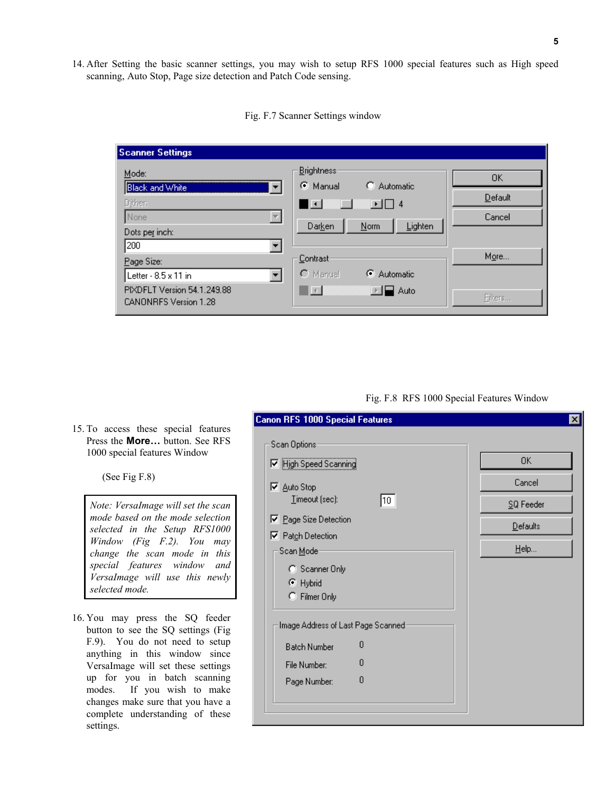14. After Setting the basic scanner settings, you may wish to setup RFS 1000 special features such as High speed scanning, Auto Stop, Page size detection and Patch Code sensing.

| <b>Scanner Settings</b>                                                                                  |                                                                                                   |                         |
|----------------------------------------------------------------------------------------------------------|---------------------------------------------------------------------------------------------------|-------------------------|
| Mode:<br><b>Black and White</b><br>Dither:<br>None<br>Dots per inch:                                     | <b>Brightness</b><br>G.<br>C Automatic<br>Manual<br>ा∎ । ∏ 4<br>∎⊡<br>Lighten<br>Darken<br>$Norm$ | OK<br>Default<br>Cancel |
| 200<br>Page Size:<br>Letter - 8.5 x 11 in<br>PIXDFLT Version 54.1.249.88<br><b>CANONRFS Version 1.28</b> | Contrast<br>C Manual<br>C Automatic<br>$\vert \vert \vert$<br>Auto                                | More<br>Filters         |

<span id="page-4-1"></span>Fig. F.7 Scanner Settings window

## <span id="page-4-0"></span>Fig. F.8 RFS 1000 Special Features Window

|                              |  |  |  | 15. To access these special features  |
|------------------------------|--|--|--|---------------------------------------|
|                              |  |  |  | Press the <b>More</b> button. See RFS |
| 1000 special features Window |  |  |  |                                       |

(See Fig F.8)

*Note: VersaImage will set the scan mode based on the mode selection selected in the Setup RFS1000 Window (Fig F.2). You may change the scan mode in this special features window and VersaImage will use this newly selected mode.* 

16. You may press the SQ feeder button to see the SQ settings (Fig F.9). You do not need to setup anything in this window since VersaImage will set these settings up for you in batch scanning modes. If you wish to make changes make sure that you have a complete understanding of these settings.

| □ High Speed Scanning              |    | 0K        |
|------------------------------------|----|-----------|
| <b>▽</b> Auto Stop                 |    | Cancel    |
| Imeout (sec):                      | 10 | SQ Feeder |
| ☑ Page Size Detection              |    | Defaults  |
| □ Patch Detection                  |    |           |
| Scan Mode-                         |    | $He$ lp   |
| C Scanner Only                     |    |           |
| C Hybrid                           |    |           |
| C Filmer Only                      |    |           |
| Image Address of Last Page Scanned |    |           |
| <b>Batch Number</b>                | 0  |           |
| File Number:                       | 0  |           |
| Page Number:                       | 0  |           |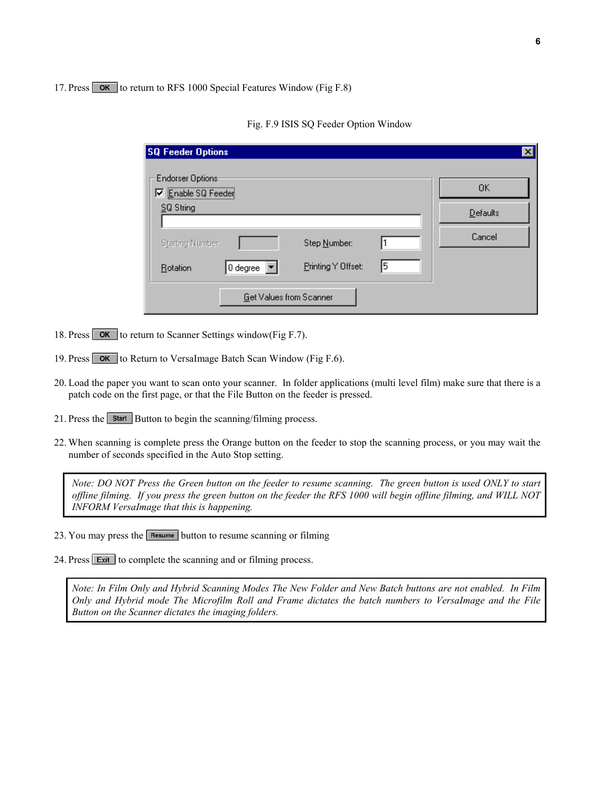17. Press **OK** to return to [RFS 1000 Special Features Window \(](#page-4-0)Fig F.8)

| <b>SQ Feeder Options</b>                                           |                                |                    |   |          |
|--------------------------------------------------------------------|--------------------------------|--------------------|---|----------|
| <b>Endorser Options:</b><br><b>V</b> Enable SQ Feeder<br>SQ String |                                |                    |   | OΚ       |
|                                                                    |                                |                    |   | Defaults |
| Starting Number:                                                   |                                | Step Number:       |   | Cancel   |
| Rotation                                                           | 0 degree                       | Printing Y Offset: | 5 |          |
|                                                                    | <b>Get Values from Scanner</b> |                    |   |          |

Fig. F.9 ISIS SQ Feeder Option Window

- 18. Press **OK** to return to [Scanner Settings window\(](#page-4-1)Fig F.7).
- 19. Press  $\overline{\text{OK}}$  to Return to [VersaImage Batch Scan Window](#page-3-0) (Fig F.6).
- 20. Load the paper you want to scan onto your scanner. In folder applications (multi level film) make sure that there is a patch code on the first page, or that the File Button on the feeder is pressed.
- 21. Press the start Button to begin the scanning/filming process.
- 22. When scanning is complete press the Orange button on the feeder to stop the scanning process, or you may wait the number of seconds specified in the Auto Stop setting.

*Note: DO NOT Press the Green button on the feeder to resume scanning. The green button is used ONLY to start offline filming. If you press the green button on the feeder the RFS 1000 will begin offline filming, and WILL NOT INFORM VersaImage that this is happening.* 

- 23. You may press the  $\sqrt{\frac{3}{2}}$  button to resume scanning or filming
- 24. Press Exit to complete the scanning and or filming process.

*Note: In Film Only and Hybrid Scanning Modes The New Folder and New Batch buttons are not enabled. In Film Only and Hybrid mode The Microfilm Roll and Frame dictates the batch numbers to VersaImage and the File Button on the Scanner dictates the imaging folders.*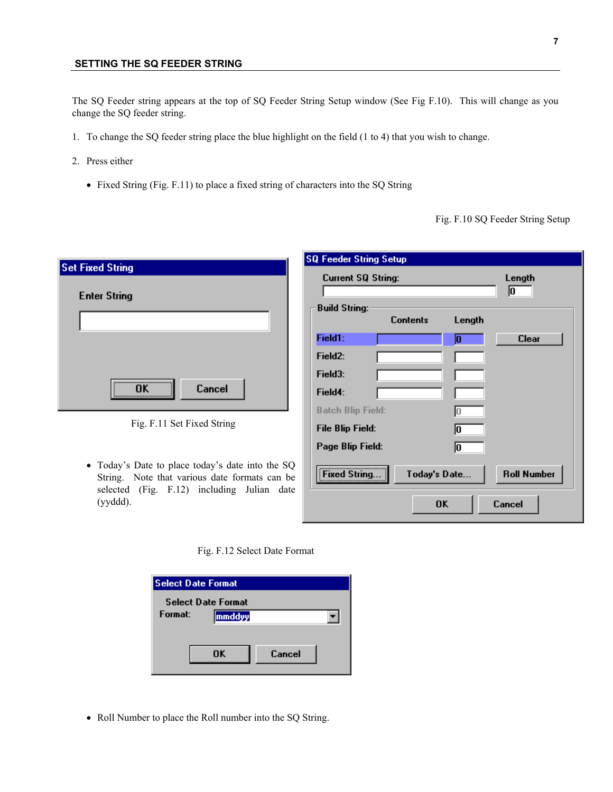The SQ Feeder string appears at the top of [SQ Feeder String Setup](#page-6-0) window (See Fig F.10). This will change as you change the SQ feeder string.

- 1. To change the SQ feeder string place the blue highlight on the field (1 to 4) that you wish to change.
- 2. Press either
	- Fixed String ([Fig. F.1](#page-6-1)1) to place a fixed string of characters into the SQ String

<span id="page-6-0"></span>Fig. F.10 SQ Feeder String Setup

|                                                                                                                                                             | <b>SQ Feeder String Setup</b>                                                    |
|-------------------------------------------------------------------------------------------------------------------------------------------------------------|----------------------------------------------------------------------------------|
| <b>Set Fixed String</b><br><b>Enter String</b>                                                                                                              | <b>Current SQ String:</b><br>Length<br>10<br><b>Build String:</b>                |
|                                                                                                                                                             | <b>Contents</b><br>Length<br>Field1:<br><b>Clear</b>                             |
|                                                                                                                                                             | Field <sub>2:</sub>                                                              |
| <br>Cancel<br>ΠK                                                                                                                                            | Field3:<br>Field4:                                                               |
| Fig. F.11 Set Fixed String                                                                                                                                  | <b>Batch Blip Field:</b><br><b>File Blip Field:</b>                              |
|                                                                                                                                                             | Page Blip Field:                                                                 |
| • Today's Date to place today's date into the SQ<br>String. Note that various date formats can be<br>selected (Fig. F.12) including Julian date<br>(yyddd). | <b>Roll Number</b><br>Today's Date<br><b>Fixed String</b><br><b>nk</b><br>Cancel |

<span id="page-6-1"></span>

| <b>Select Date Format</b> |        |        |  |  |
|---------------------------|--------|--------|--|--|
| <b>Select Date Format</b> |        |        |  |  |
| Format:                   | mmddyy |        |  |  |
|                           |        |        |  |  |
|                           |        |        |  |  |
|                           | ΠK     | Cancel |  |  |
|                           |        |        |  |  |

• Roll Number to place the Roll number into the SQ String.